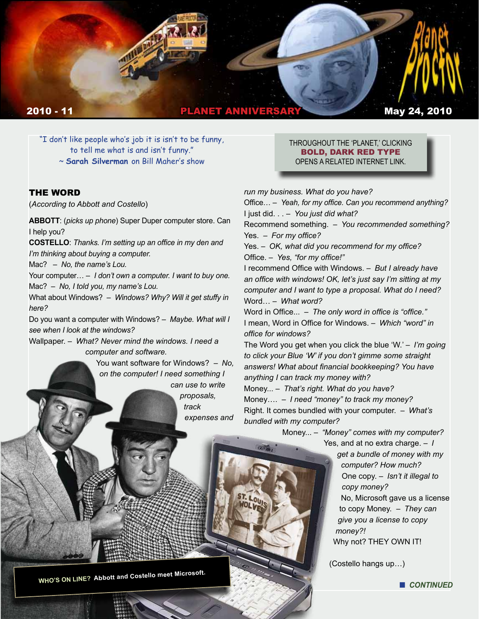

"I don't like people who's job it is isn't to be funny, to tell me what is and isn't funny."

~ **Sarah Silverman** on Bill Maher's show

### THE WORD

(*According to Abbott and Costello*) 

**ABBOTT**: (*picks up phone*) Super Duper computer store. Can I help you?

**COSTELLO**: *Thanks. I'm setting up an office in my den and I'm thinking about buying a computer.*

Mac? – *No, the name's Lou.*

Your computer… – *I don't own a computer. I want to buy one.* Mac? – *No, I told you, my name's Lou.*

What about Windows? – *Windows? Why? Will it get stuffy in here?*

Do you want a computer with Windows? – *Maybe. What will I see when I look at the windows?*

Wallpaper. – *What? Never mind the windows. I need a computer and software.*

> You want software for Windows? – *No, on the computer! I need something I can use to write proposals, track expenses and*

THROUGHOUT THE 'PLANET,' CLICKING BOLD, DARK RED TYPE OPENS A RELATED INTERNET LINK.

*run my business. What do you have?* Office… – *Yeah, for my office. Can you recommend anything?*  I just did. . . – *You just did what?*

Recommend something. – *You recommended something?* Yes. – *For my office?*

Yes. – *OK, what did you recommend for my office?* Office. – *Yes, "for my office!"*

I recommend Office with Windows. – *But I already have an office with windows! OK, let's just say I'm sitting at my computer and I want to type a proposal. What do I need?*  Word… – *What word?*

Word in Office... – *The only word in office is "office."* I mean, Word in Office for Windows. – *Which "word" in office for windows?* 

The Word you get when you click the blue 'W.' – *I'm going to click your Blue 'W' if you don't gimme some straight answers! What about financial bookkeeping? You have anything I can track my money with?* 

Money... – *That's right. What do you have?* Money…. – *I need "money" to track my money?* Right. It comes bundled with your computer. – *What's bundled with my computer?* 

Money... – *"Money" comes with my computer?*

Yes, and at no extra charge. – *I* 

*get a bundle of money with my computer? How much?* One copy. – *Isn't it illegal to copy money?*  No, Microsoft gave us a license to copy Money. – *They can give you a license to copy money?!* Why not? THEY OWN IT!

(Costello hangs up…)

**WHO'S ON LINE? Abbott and Costello meet Microsoft.**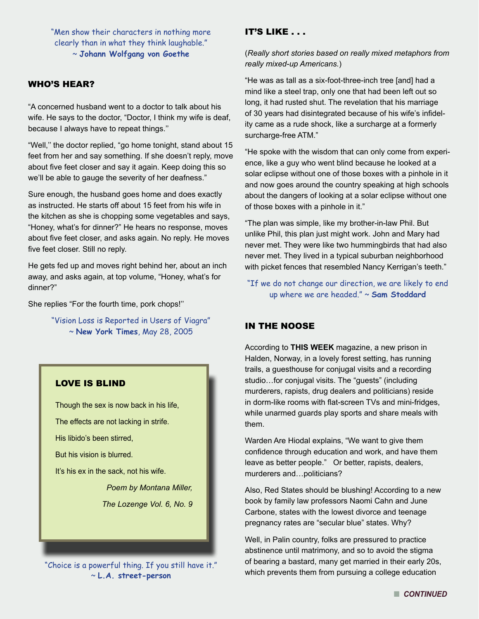"Men show their characters in nothing more clearly than in what they think laughable." ~ **Johann Wolfgang von Goethe**

# WHO'S HEAR?

"A concerned husband went to a doctor to talk about his wife. He says to the doctor, "Doctor, I think my wife is deaf, because I always have to repeat things.''

"Well,'' the doctor replied, "go home tonight, stand about 15 feet from her and say something. If she doesn't reply, move about five feet closer and say it again. Keep doing this so we'll be able to gauge the severity of her deafness."

Sure enough, the husband goes home and does exactly as instructed. He starts off about 15 feet from his wife in the kitchen as she is chopping some vegetables and says, "Honey, what's for dinner?" He hears no response, moves about five feet closer, and asks again. No reply. He moves five feet closer. Still no reply.

He gets fed up and moves right behind her, about an inch away, and asks again, at top volume, "Honey, what's for dinner?"

She replies "For the fourth time, pork chops!''

"Vision Loss is Reported in Users of Viagra" ~ **New York Times**, May 28, 2005

# LOVE IS BLIND Though the sex is now back in his life, The effects are not lacking in strife. His libido's been stirred, But his vision is blurred. It's his ex in the sack, not his wife. *Poem by Montana Miller, The Lozenge Vol. 6, No. 9*

"Choice is a powerful thing. If you still have it." ~ **L.A. street-person**

# IT'S LIKE . . .

(*Really short stories based on really mixed metaphors from really mixed-up Americans.*)

"He was as tall as a six-foot-three-inch tree [and] had a mind like a steel trap, only one that had been left out so long, it had rusted shut. The revelation that his marriage of 30 years had disintegrated because of his wife's infidelity came as a rude shock, like a surcharge at a formerly surcharge-free ATM."

"He spoke with the wisdom that can only come from experience, like a guy who went blind because he looked at a solar eclipse without one of those boxes with a pinhole in it and now goes around the country speaking at high schools about the dangers of looking at a solar eclipse without one of those boxes with a pinhole in it."

"The plan was simple, like my brother-in-law Phil. But unlike Phil, this plan just might work. John and Mary had never met. They were like two hummingbirds that had also never met. They lived in a typical suburban neighborhood with picket fences that resembled Nancy Kerrigan's teeth."

# "If we do not change our direction, we are likely to end up where we are headed." ~ **Sam Stoddard**

## IN THE NOOSE

According to **THIS WEEK** magazine, a new prison in Halden, Norway, in a lovely forest setting, has running trails, a guesthouse for conjugal visits and a recording studio…for conjugal visits. The "guests" (including murderers, rapists, drug dealers and politicians) reside in dorm-like rooms with flat-screen TVs and mini-fridges, while unarmed guards play sports and share meals with them.

Warden Are Hiodal explains, "We want to give them confidence through education and work, and have them leave as better people." Or better, rapists, dealers, murderers and…politicians?

Also, Red States should be blushing! According to a new book by family law professors Naomi Cahn and June Carbone, states with the lowest divorce and teenage pregnancy rates are "secular blue" states. Why?

Well, in Palin country, folks are pressured to practice abstinence until matrimony, and so to avoid the stigma of bearing a bastard, many get married in their early 20s, which prevents them from pursuing a college education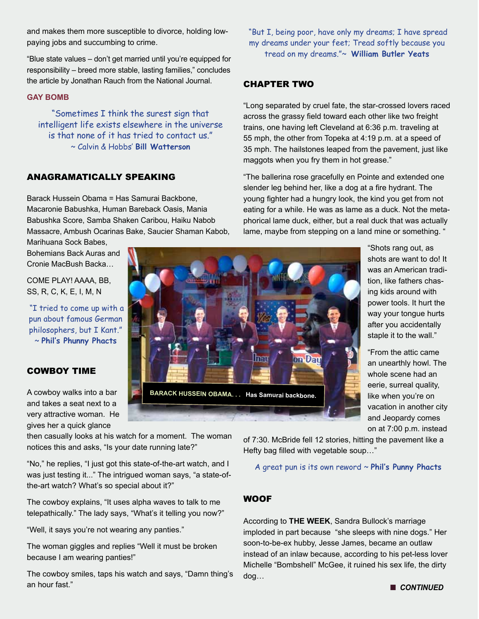and makes them more susceptible to divorce, holding lowpaying jobs and succumbing to crime.

"Blue state values – don't get married until you're equipped for responsibility – breed more stable, lasting families," concludes the article by Jonathan Rauch from the National Journal.

#### **GAY BOMB**

"Sometimes I think the surest sign that intelligent life exists elsewhere in the universe is that none of it has tried to contact us." ~ Calvin & Hobbs' **Bill Watterson** 

# ANAGRAMATICALLY SPEAKING

Barack Hussein Obama = Has Samurai Backbone, Macaronie Babushka, Human Bareback Oasis, Mania Babushka Score, Samba Shaken Caribou, Haiku Nabob Massacre, Ambush Ocarinas Bake, Saucier Shaman Kabob,

Marihuana Sock Babes, Bohemians Back Auras and Cronie MacBush Backa…

COME PLAY! AAAA, BB, SS, R, C, K, E, I, M, N

 "I tried to come up with a pun about famous German philosophers, but I Kant." ~ **Phil's Phunny Phacts**

# COWBOY TIME

A cowboy walks into a bar and takes a seat next to a very attractive woman. He gives her a quick glance

then casually looks at his watch for a moment. The woman notices this and asks, "Is your date running late?"

"No," he replies, "I just got this state-of-the-art watch, and I was just testing it..." The intrigued woman says, "a state-ofthe-art watch? What's so special about it?"

The cowboy explains, "It uses alpha waves to talk to me telepathically." The lady says, "What's it telling you now?"

"Well, it says you're not wearing any panties."

The woman giggles and replies "Well it must be broken because I am wearing panties!"

The cowboy smiles, taps his watch and says, "Damn thing's an hour fast."

 "But I, being poor, have only my dreams; I have spread my dreams under your feet; Tread softly because you tread on my dreams."~ **William Butler Yeats**

# CHAPTER TWO

"Long separated by cruel fate, the star-crossed lovers raced across the grassy field toward each other like two freight trains, one having left Cleveland at 6:36 p.m. traveling at 55 mph, the other from Topeka at 4:19 p.m. at a speed of 35 mph. The hailstones leaped from the pavement, just like maggots when you fry them in hot grease."

"The ballerina rose gracefully en Pointe and extended one slender leg behind her, like a dog at a fire hydrant. The young fighter had a hungry look, the kind you get from not eating for a while. He was as lame as a duck. Not the metaphorical lame duck, either, but a real duck that was actually lame, maybe from stepping on a land mine or something. "

> "Shots rang out, as shots are want to do! It was an American tradition, like fathers chasing kids around with power tools. It hurt the way your tongue hurts after you accidentally staple it to the wall."

> "From the attic came an unearthly howl. The whole scene had an eerie, surreal quality, like when you're on vacation in another city and Jeopardy comes on at 7:00 p.m. instead

of 7:30. McBride fell 12 stories, hitting the pavement like a Hefty bag filled with vegetable soup…"

A great pun is its own reword ~ **Phil's Punny Phacts**

## **WOOF**

According to **THE WEEK**, Sandra Bullock's marriage imploded in part because "she sleeps with nine dogs." Her soon-to-be-ex hubby, Jesse James, became an outlaw instead of an inlaw because, according to his pet-less lover Michelle "Bombshell" McGee, it ruined his sex life, the dirty dog…



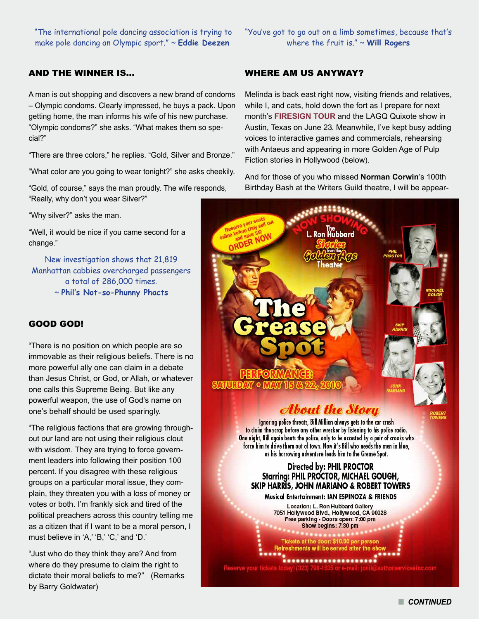"The international pole dancing association is trying to make pole dancing an Olympic sport." ~ **Eddie Deezen**

# AND THE WINNER IS…

A man is out shopping and discovers a new brand of condoms – Olympic condoms. Clearly impressed, he buys a pack. Upon getting home, the man informs his wife of his new purchase. "Olympic condoms?" she asks. "What makes them so special?"

"There are three colors," he replies. "Gold, Silver and Bronze."

"What color are you going to wear tonight?" she asks cheekily.

"Gold, of course," says the man proudly. The wife responds, "Really, why don't you wear Silver?"

"Why silver?" asks the man.

"Well, it would be nice if you came second for a change."

New investigation shows that 21,819 Manhattan cabbies overcharged passengers a total of 286,000 times. ~ **Phil's Not-so-Phunny Phacts**

#### GOOD GOD!

"There is no position on which people are so immovable as their religious beliefs. There is no more powerful ally one can claim in a debate than Jesus Christ, or God, or Allah, or whatever one calls this Supreme Being. But like any powerful weapon, the use of God's name on one's behalf should be used sparingly.

"The religious factions that are growing throughout our land are not using their religious clout with wisdom. They are trying to force government leaders into following their position 100 percent. If you disagree with these religious groups on a particular moral issue, they complain, they threaten you with a loss of money or votes or both. I'm frankly sick and tired of the political preachers across this country telling me as a citizen that if I want to be a moral person, I must believe in 'A,' 'B,' 'C,' and 'D.'

"Just who do they think they are? And from where do they presume to claim the right to dictate their moral beliefs to me?" (Remarks by Barry Goldwater)

"You've got to go out on a limb sometimes, because that's where the fruit is." ~ **Will Rogers**

## WHERE AM US ANYWAY?

Melinda is back east right now, visiting friends and relatives, while I, and cats, hold down the fort as I prepare for next month's **FIRESIGN TOUR** and the LAGQ Quixote show in Austin, Texas on June 23. Meanwhile, I've kept busy adding voices to interactive games and commercials, rehearsing with Antaeus and appearing in more Golden Age of Pulp Fiction stories in Hollywood (below).

And for those of you who missed **Norman Corwin**'s 100th Birthday Bash at the Writers Guild theatre, I will be appear-



n *CONTINUED*